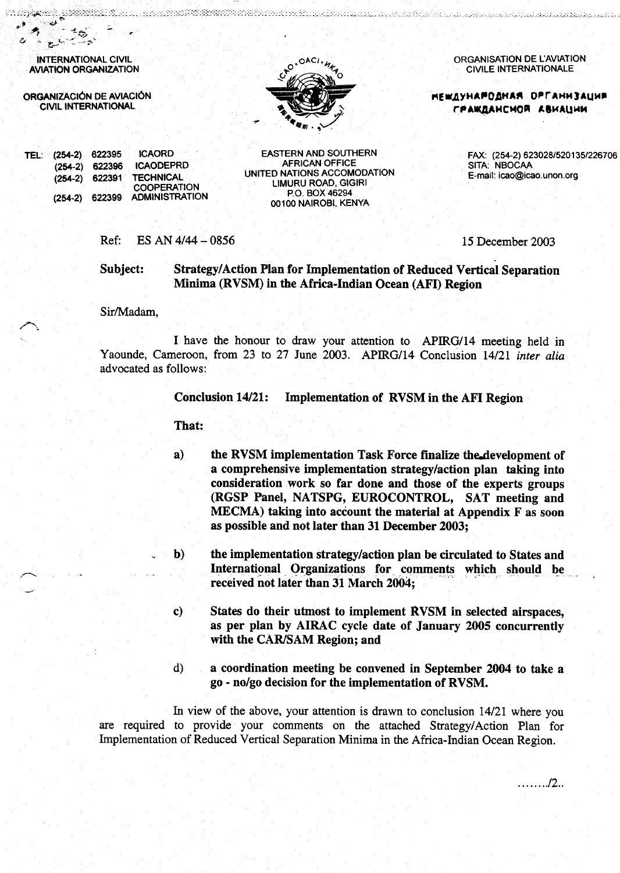**INTERNATIONAL CIVIL AVIATION ORGANIZATION** 

en 1972 (Carolina)<br>Segundae de Santo (Carolina)

ORGANIZACIÓN DE AVIACIÓN **CIVIL INTERNATIONAL** 



ttiin kalka kan poolitiin käyttä kikki kausta käyteleltiin levalta on motoja olova toista lookollanelta luukip

ORGANISATION DE L'AVIATION **CIVILE INTERNATIONALE** 

**МЕЖДУНАРОДНАЯ ОРГАНИЗАЦИЯ** ГРАЖДАНСНОЙ АВИАЦИИ

TEL: (254-2) 622395 **ICAORD ICAODEPRD**  $(254-2)$ 622396 622391 **TECHNICAL**  $(254-2)$ **COOPERATION**  $(254-2)$ 622399 **ADMINISTRATION** 

**EASTERN AND SOUTHERN AFRICAN OFFICE** UNITED NATIONS ACCOMODATION LIMURU ROAD, GIGIRI P.O. BOX 46294 00100 NAIROBI, KENYA

FAX: (254-2) 623028/520135/226706 SITA: NBOCAA E-mail: icao@icao.unon.org

. . . . . . . . .  $/2$ . .

Ref: ES AN  $4/44 - 0856$  15 December 2003

Subject: Strategy/Action Plan for Implementation of Reduced Vertical Separation Minima (RVSM) in the Africa-Indian Ocean (AFI) Region

Sir/Madam,

I have the honour to draw your attention to APIRG/14 meeting held in Yaounde, Cameroon, from 23 to 27 June 2003. APIRG/14 Conclusion 14/21 inter alia advocated as follows:

> **Conclusion 14/21:** Implementation of RVSM in the AFI Region

That:

- $a)$ the RVSM implementation Task Force finalize the development of a comprehensive implementation strategy/action plan taking into consideration work so far done and those of the experts groups (RGSP Panel, NATSPG, EUROCONTROL, SAT meeting and MECMA) taking into account the material at Appendix F as soon as possible and not later than 31 December 2003;
- the implementation strategy/action plan be circulated to States and  $\mathbf{b}$ International Organizations for comments which should be received not later than 31 March 2004;
- States do their utmost to implement RVSM in selected airspaces, c) as per plan by AIRAC cycle date of January 2005 concurrently with the CAR/SAM Region; and
- $\mathbf{d}$ a coordination meeting be convened in September 2004 to take a go - no/go decision for the implementation of RVSM.

In view of the above, your attention is drawn to conclusion 14/21 where you are required to provide your comments on the attached Strategy/Action Plan for Implementation of Reduced Vertical Separation Minima in the Africa-Indian Ocean Region.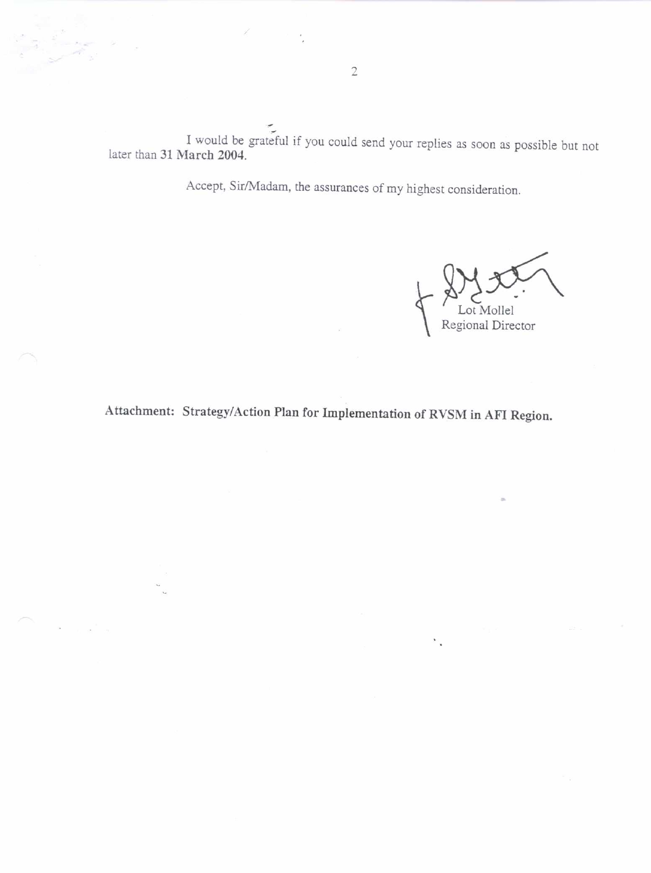I would be grateful if you could send your replies as soon as possible but not later than 31 March 2004.

Accept, Sir/Madam, the assurances of my highest consideration.

Regional Director

Attachment: Strategy/Action Plan for Implementation of RVSM in AFI Region.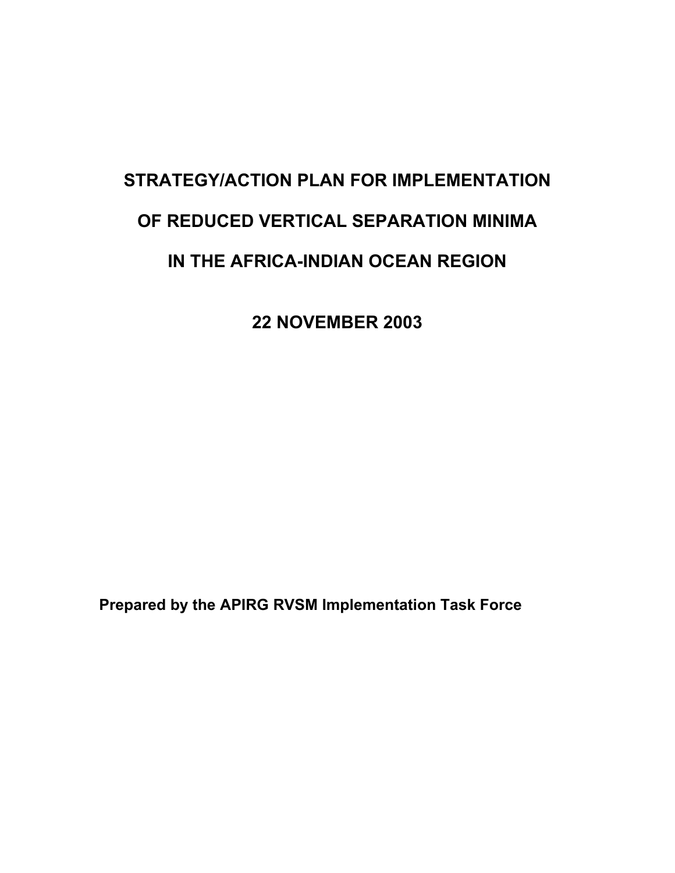# **STRATEGY/ACTION PLAN FOR IMPLEMENTATION OF REDUCED VERTICAL SEPARATION MINIMA IN THE AFRICA-INDIAN OCEAN REGION**

**22 NOVEMBER 2003** 

**Prepared by the APIRG RVSM Implementation Task Force**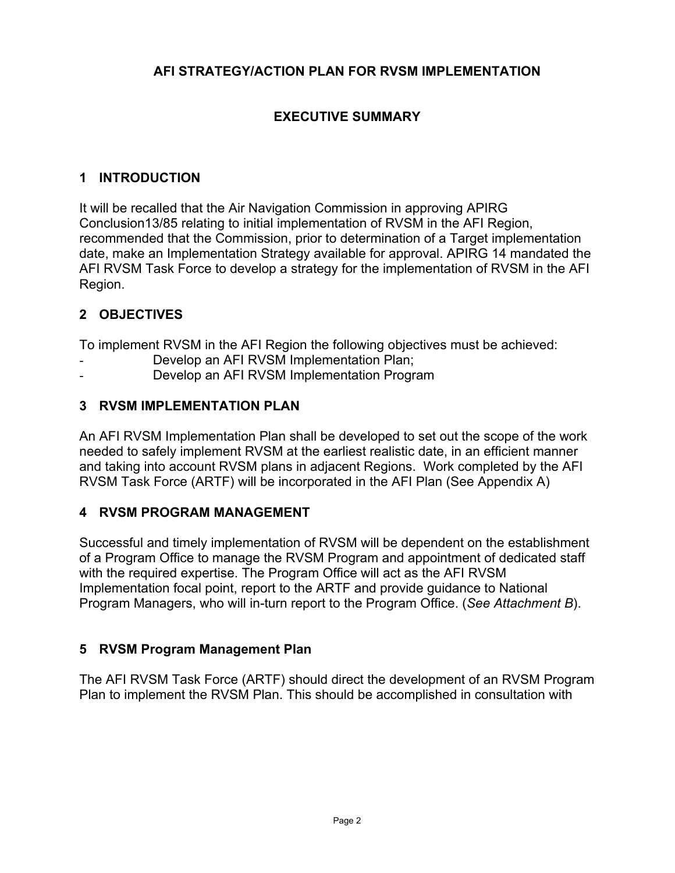# **AFI STRATEGY/ACTION PLAN FOR RVSM IMPLEMENTATION**

# **EXECUTIVE SUMMARY**

## **1 INTRODUCTION**

It will be recalled that the Air Navigation Commission in approving APIRG Conclusion13/85 relating to initial implementation of RVSM in the AFI Region, recommended that the Commission, prior to determination of a Target implementation date, make an Implementation Strategy available for approval. APIRG 14 mandated the AFI RVSM Task Force to develop a strategy for the implementation of RVSM in the AFI Region.

# **2 OBJECTIVES**

To implement RVSM in the AFI Region the following objectives must be achieved:

- Develop an AFI RVSM Implementation Plan;
- Develop an AFI RVSM Implementation Program

## **3 RVSM IMPLEMENTATION PLAN**

An AFI RVSM Implementation Plan shall be developed to set out the scope of the work needed to safely implement RVSM at the earliest realistic date, in an efficient manner and taking into account RVSM plans in adjacent Regions. Work completed by the AFI RVSM Task Force (ARTF) will be incorporated in the AFI Plan (See Appendix A)

## **4 RVSM PROGRAM MANAGEMENT**

Successful and timely implementation of RVSM will be dependent on the establishment of a Program Office to manage the RVSM Program and appointment of dedicated staff with the required expertise. The Program Office will act as the AFI RVSM Implementation focal point, report to the ARTF and provide guidance to National Program Managers, who will in-turn report to the Program Office. (*See Attachment B*).

## **5 RVSM Program Management Plan**

The AFI RVSM Task Force (ARTF) should direct the development of an RVSM Program Plan to implement the RVSM Plan. This should be accomplished in consultation with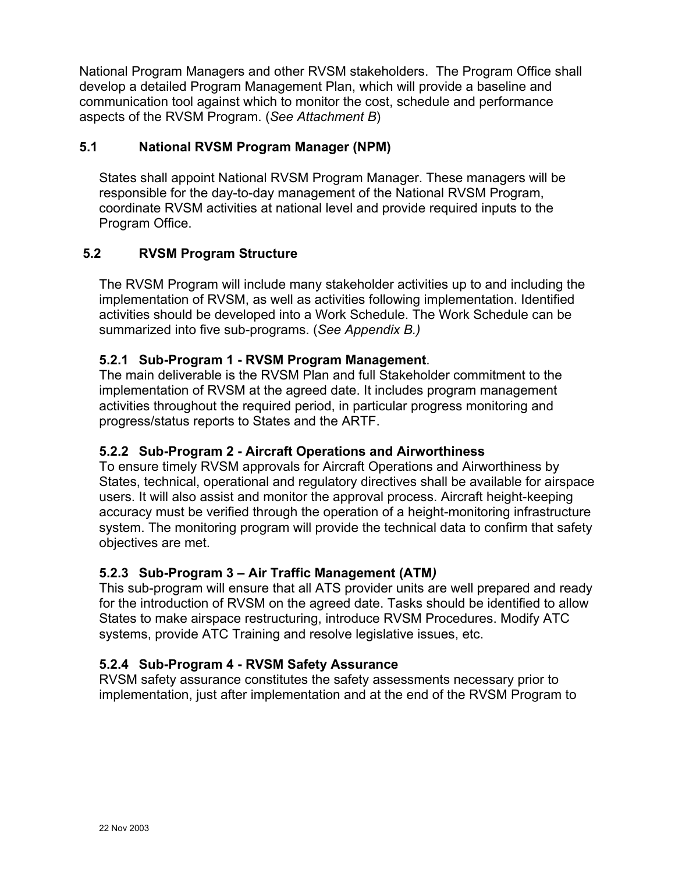National Program Managers and other RVSM stakeholders. The Program Office shall develop a detailed Program Management Plan, which will provide a baseline and communication tool against which to monitor the cost, schedule and performance aspects of the RVSM Program. (*See Attachment B*)

## **5.1 National RVSM Program Manager (NPM)**

States shall appoint National RVSM Program Manager. These managers will be responsible for the day-to-day management of the National RVSM Program, coordinate RVSM activities at national level and provide required inputs to the Program Office.

## **5.2 RVSM Program Structure**

The RVSM Program will include many stakeholder activities up to and including the implementation of RVSM, as well as activities following implementation. Identified activities should be developed into a Work Schedule. The Work Schedule can be summarized into five sub-programs. (*See Appendix B.)* 

#### **5.2.1 Sub-Program 1 - RVSM Program Management**.

The main deliverable is the RVSM Plan and full Stakeholder commitment to the implementation of RVSM at the agreed date. It includes program management activities throughout the required period, in particular progress monitoring and progress/status reports to States and the ARTF.

#### **5.2.2 Sub-Program 2 - Aircraft Operations and Airworthiness**

To ensure timely RVSM approvals for Aircraft Operations and Airworthiness by States, technical, operational and regulatory directives shall be available for airspace users. It will also assist and monitor the approval process. Aircraft height-keeping accuracy must be verified through the operation of a height-monitoring infrastructure system. The monitoring program will provide the technical data to confirm that safety objectives are met.

#### **5.2.3 Sub-Program 3 – Air Traffic Management (ATM***)*

This sub-program will ensure that all ATS provider units are well prepared and ready for the introduction of RVSM on the agreed date. Tasks should be identified to allow States to make airspace restructuring, introduce RVSM Procedures. Modify ATC systems, provide ATC Training and resolve legislative issues, etc.

#### **5.2.4 Sub-Program 4 - RVSM Safety Assurance**

RVSM safety assurance constitutes the safety assessments necessary prior to implementation, just after implementation and at the end of the RVSM Program to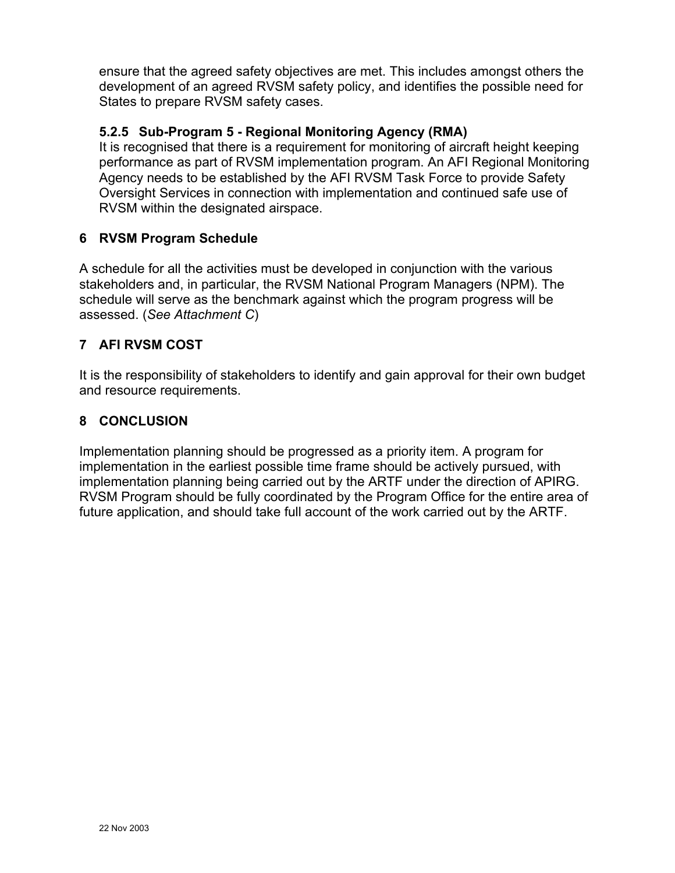ensure that the agreed safety objectives are met. This includes amongst others the development of an agreed RVSM safety policy, and identifies the possible need for States to prepare RVSM safety cases.

## **5.2.5 Sub-Program 5 - Regional Monitoring Agency (RMA)**

It is recognised that there is a requirement for monitoring of aircraft height keeping performance as part of RVSM implementation program. An AFI Regional Monitoring Agency needs to be established by the AFI RVSM Task Force to provide Safety Oversight Services in connection with implementation and continued safe use of RVSM within the designated airspace.

## **6 RVSM Program Schedule**

A schedule for all the activities must be developed in conjunction with the various stakeholders and, in particular, the RVSM National Program Managers (NPM). The schedule will serve as the benchmark against which the program progress will be assessed. (*See Attachment C*)

## **7 AFI RVSM COST**

It is the responsibility of stakeholders to identify and gain approval for their own budget and resource requirements.

## **8 CONCLUSION**

Implementation planning should be progressed as a priority item. A program for implementation in the earliest possible time frame should be actively pursued, with implementation planning being carried out by the ARTF under the direction of APIRG. RVSM Program should be fully coordinated by the Program Office for the entire area of future application, and should take full account of the work carried out by the ARTF.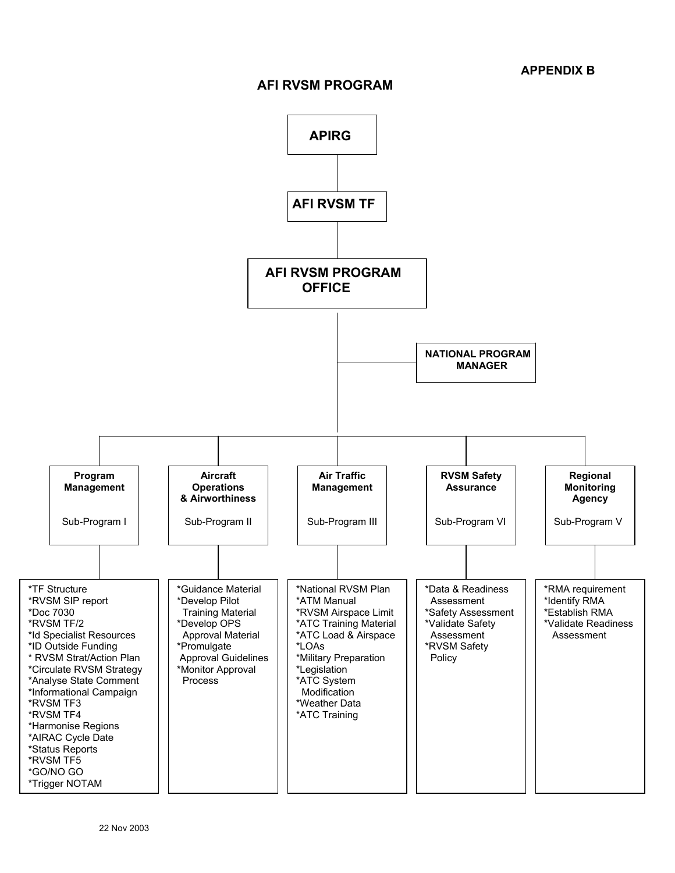#### **AFI RVSM PROGRAM**

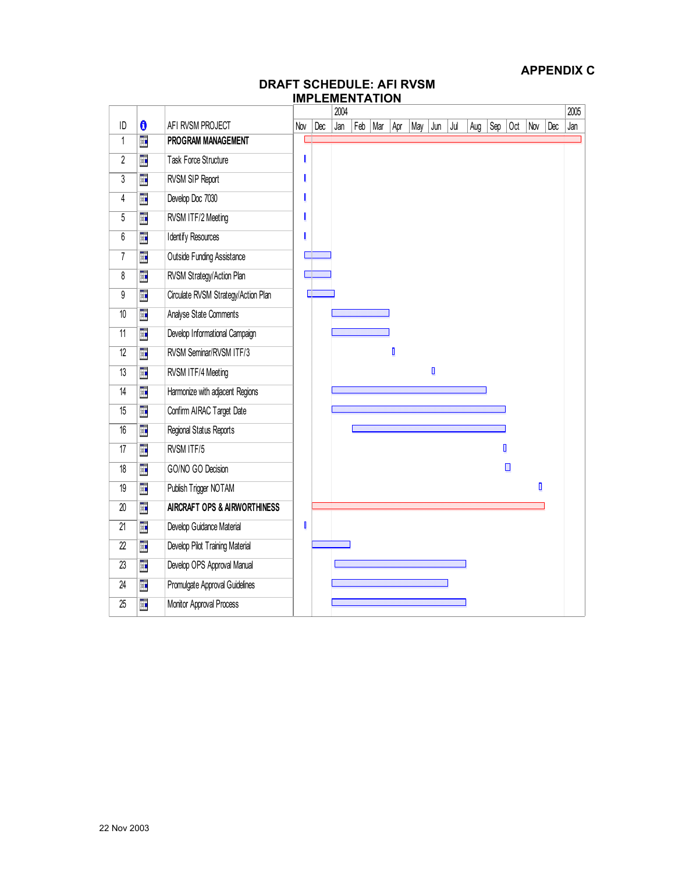#### **DRAFT SCHEDULE: AFI RVSM IMPLEMENTATION**

|                  |    |                                     | 2004 |     |     |     |     |     |     |     |     | 2005 |     |     |     |     |     |
|------------------|----|-------------------------------------|------|-----|-----|-----|-----|-----|-----|-----|-----|------|-----|-----|-----|-----|-----|
| ID               | 0  | AFI RVSM PROJECT                    | Nov  | Dec | Jan | Feb | Mar | Apr | May | Jun | Jul | Aug  | Sep | Oct | Nov | Dec | Jan |
| $\overline{1}$   | H. | PROGRAM MANAGEMENT                  |      |     |     |     |     |     |     |     |     |      |     |     |     |     |     |
| $\overline{2}$   | T. | Task Force Structure                |      |     |     |     |     |     |     |     |     |      |     |     |     |     |     |
| $\sqrt{3}$       | H. | RVSM SIP Report                     |      |     |     |     |     |     |     |     |     |      |     |     |     |     |     |
| $\sqrt{4}$       | H. | Develop Doc 7030                    |      |     |     |     |     |     |     |     |     |      |     |     |     |     |     |
| $5\,$            | Ŧ  | RVSM ITF/2 Meeting                  |      |     |     |     |     |     |     |     |     |      |     |     |     |     |     |
| $\boldsymbol{6}$ | H. | <b>Identify Resources</b>           |      |     |     |     |     |     |     |     |     |      |     |     |     |     |     |
| $\sqrt{7}$       | H. | <b>Outside Funding Assistance</b>   |      |     |     |     |     |     |     |     |     |      |     |     |     |     |     |
| 8                | Ŧ  | RVSM Strategy/Action Plan           |      |     |     |     |     |     |     |     |     |      |     |     |     |     |     |
| 9                | Ŧ  | Circulate RVSM Strategy/Action Plan |      |     |     |     |     |     |     |     |     |      |     |     |     |     |     |
| $10$             | Ŧ  | Analyse State Comments              |      |     |     |     |     |     |     |     |     |      |     |     |     |     |     |
| $\overline{11}$  | H. | Develop Informational Campaign      |      |     |     |     |     |     |     |     |     |      |     |     |     |     |     |
| 12               | Ŧ  | RVSM Seminar/RVSM ITF/3             |      |     |     |     |     | O   |     |     |     |      |     |     |     |     |     |
| 13               | H. | RVSM ITF/4 Meeting                  |      |     |     |     |     |     |     | O   |     |      |     |     |     |     |     |
| 14               | H. | Harmonize with adjacent Regions     |      |     |     |     |     |     |     |     |     |      |     |     |     |     |     |
| 15               | Ŧ  | Confirm AIRAC Target Date           |      |     |     |     |     |     |     |     |     |      |     |     |     |     |     |
| 16               | H. | Regional Status Reports             |      |     |     |     |     |     |     |     |     |      |     |     |     |     |     |
| 17               | H. | RVSM ITF/5                          |      |     |     |     |     |     |     |     |     |      |     | D   |     |     |     |
| 18               | H. | GO/NO GO Decision                   |      |     |     |     |     |     |     |     |     |      |     | ▣   |     |     |     |
| 19               | H. | Publish Trigger NOTAM               |      |     |     |     |     |     |     |     |     |      |     |     | ı   |     |     |
| $20\,$           | H. | AIRCRAFT OPS & AIRWORTHINESS        |      |     |     |     |     |     |     |     |     |      |     |     |     |     |     |
| 21               | Ŧ  | Develop Guidance Material           | I    |     |     |     |     |     |     |     |     |      |     |     |     |     |     |
| $\overline{22}$  | Ŧ  | Develop Pilot Training Material     |      |     |     |     |     |     |     |     |     |      |     |     |     |     |     |
| $\overline{23}$  | Ŧ  | Develop OPS Approval Manual         |      |     |     |     |     |     |     |     |     |      |     |     |     |     |     |
| 24               | H. | Promulgate Approval Guidelines      |      |     |     |     |     |     |     |     |     |      |     |     |     |     |     |
| $\overline{25}$  | H. | Monitor Approval Process            |      |     |     |     |     |     |     |     |     |      |     |     |     |     |     |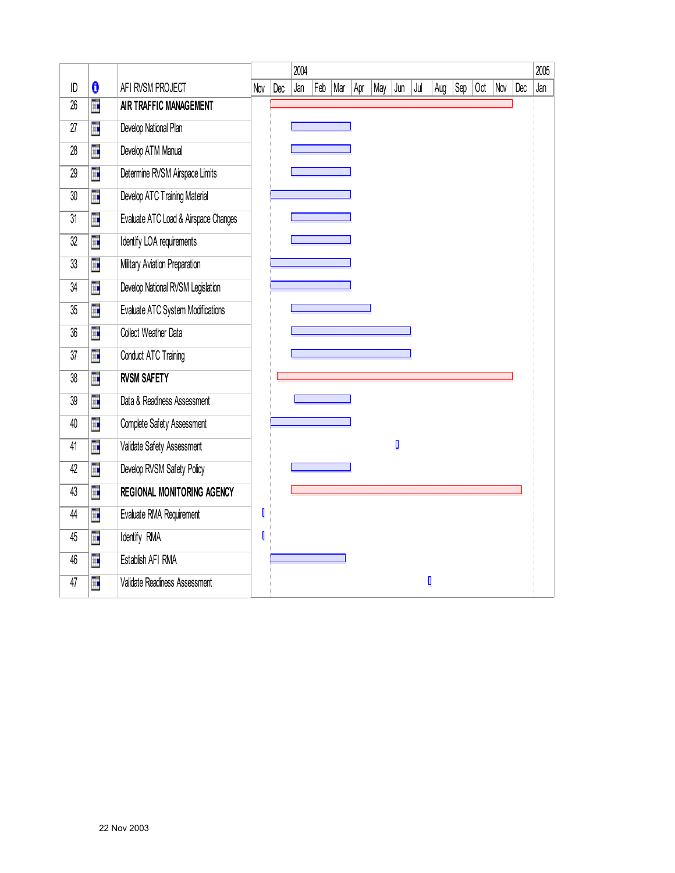|    |    |                                      |     | 2004 |     |     |     |     |     |     |     |     |     | 2005 |     |     |     |
|----|----|--------------------------------------|-----|------|-----|-----|-----|-----|-----|-----|-----|-----|-----|------|-----|-----|-----|
| ID | 0  | AFI RVSM PROJECT                     | Nov | Dec  | Jan | Feb | Mar | Apr | May | Jun | Jul | Aug | Sep | 0ct  | Nov | Dec | Jan |
| 26 | Ē. | AIR TRAFFIC MANAGEMENT               |     |      |     |     |     |     |     |     |     |     |     |      |     |     |     |
| 27 | H  | Develop National Plan                |     |      |     |     |     |     |     |     |     |     |     |      |     |     |     |
| 28 | H  | Develop ATM Manual                   |     |      |     |     |     |     |     |     |     |     |     |      |     |     |     |
| 29 | H  | Determine RVSM Airspace Limits       |     |      |     |     |     |     |     |     |     |     |     |      |     |     |     |
| 30 | Ē  | Develop ATC Training Material        |     |      |     |     |     |     |     |     |     |     |     |      |     |     |     |
| 31 | H  | Evaluate ATC Load & Airspace Changes |     |      |     |     |     |     |     |     |     |     |     |      |     |     |     |
| 32 | Ü. | Identify LOA requirements            |     |      |     |     |     |     |     |     |     |     |     |      |     |     |     |
| 33 | H  | Military Aviation Preparation        |     |      |     |     |     |     |     |     |     |     |     |      |     |     |     |
| 34 | H  | Develop National RVSM Legislation    |     |      |     |     |     |     |     |     |     |     |     |      |     |     |     |
| 35 | Ē  | Evaluate ATC System Modifications    |     |      |     |     |     |     |     |     |     |     |     |      |     |     |     |
| 36 | Ŧ  | Collect Weather Data                 |     |      |     |     |     |     |     |     |     |     |     |      |     |     |     |
| 37 | H. | Conduct ATC Training                 |     |      |     |     |     |     |     |     |     |     |     |      |     |     |     |
| 38 | Ē  | <b>RVSM SAFETY</b>                   |     |      |     |     |     |     |     |     |     |     |     |      |     |     |     |
| 39 | ü. | Data & Readiness Assessment          |     |      |     |     |     |     |     |     |     |     |     |      |     |     |     |
| 40 | Ē  | Complete Safety Assessment           |     |      |     |     |     |     |     |     |     |     |     |      |     |     |     |
| 41 | H. | Validate Safety Assessment           |     |      |     |     |     |     |     | O   |     |     |     |      |     |     |     |
| 42 | Ē  | Develop RVSM Safety Policy           |     |      |     |     |     |     |     |     |     |     |     |      |     |     |     |
| 43 | Ē  | <b>REGIONAL MONITORING AGENCY</b>    |     |      |     |     |     |     |     |     |     |     |     |      |     |     |     |
| 44 | Ē. | Evaluate RMA Requirement             | I   |      |     |     |     |     |     |     |     |     |     |      |     |     |     |
| 45 | Ē. | Identify RMA                         |     |      |     |     |     |     |     |     |     |     |     |      |     |     |     |
| 46 | H. | Establish AFI RMA                    |     |      |     |     |     |     |     |     |     |     |     |      |     |     |     |
| 47 | H  | Validate Readiness Assessment        |     |      |     |     |     |     |     |     |     | O   |     |      |     |     |     |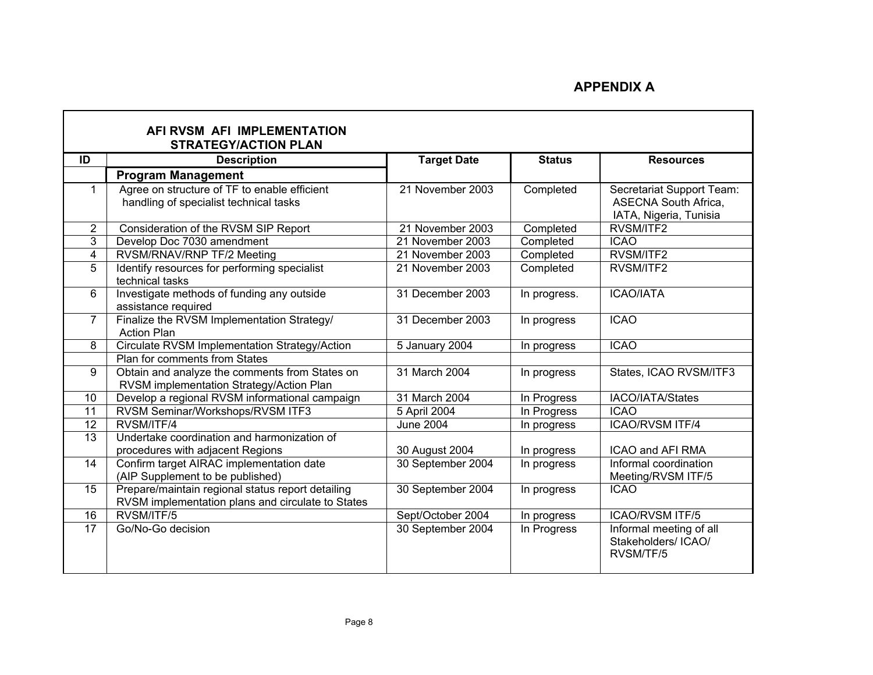|                | AFI RVSM AFI IMPLEMENTATION<br><b>STRATEGY/ACTION PLAN</b>                                             |                    |               |                                                                                    |  |  |  |  |  |  |
|----------------|--------------------------------------------------------------------------------------------------------|--------------------|---------------|------------------------------------------------------------------------------------|--|--|--|--|--|--|
| ID             | <b>Description</b>                                                                                     | <b>Target Date</b> | <b>Status</b> | <b>Resources</b>                                                                   |  |  |  |  |  |  |
|                | <b>Program Management</b>                                                                              |                    |               |                                                                                    |  |  |  |  |  |  |
| 1              | Agree on structure of TF to enable efficient<br>handling of specialist technical tasks                 | 21 November 2003   | Completed     | Secretariat Support Team:<br><b>ASECNA South Africa,</b><br>IATA, Nigeria, Tunisia |  |  |  |  |  |  |
| $\overline{2}$ | Consideration of the RVSM SIP Report                                                                   | 21 November 2003   | Completed     | RVSM/ITF2                                                                          |  |  |  |  |  |  |
| 3              | Develop Doc 7030 amendment                                                                             | 21 November 2003   | Completed     | <b>ICAO</b>                                                                        |  |  |  |  |  |  |
| 4              | RVSM/RNAV/RNP TF/2 Meeting                                                                             | 21 November 2003   | Completed     | RVSM/ITF2                                                                          |  |  |  |  |  |  |
| 5              | Identify resources for performing specialist<br>technical tasks                                        | 21 November 2003   | Completed     | RVSM/ITF2                                                                          |  |  |  |  |  |  |
| 6              | Investigate methods of funding any outside<br>assistance required                                      | 31 December 2003   | In progress.  | <b>ICAO/IATA</b>                                                                   |  |  |  |  |  |  |
| 7              | Finalize the RVSM Implementation Strategy/<br><b>Action Plan</b>                                       | 31 December 2003   | In progress   | <b>ICAO</b>                                                                        |  |  |  |  |  |  |
| 8              | Circulate RVSM Implementation Strategy/Action                                                          | 5 January 2004     | In progress   | <b>ICAO</b>                                                                        |  |  |  |  |  |  |
|                | Plan for comments from States                                                                          |                    |               |                                                                                    |  |  |  |  |  |  |
| 9              | Obtain and analyze the comments from States on<br>RVSM implementation Strategy/Action Plan             | 31 March 2004      | In progress   | States, ICAO RVSM/ITF3                                                             |  |  |  |  |  |  |
| 10             | Develop a regional RVSM informational campaign                                                         | 31 March 2004      | In Progress   | IACO/IATA/States                                                                   |  |  |  |  |  |  |
| 11             | RVSM Seminar/Workshops/RVSM ITF3                                                                       | 5 April 2004       | In Progress   | <b>ICAO</b>                                                                        |  |  |  |  |  |  |
| 12             | RVSM/ITF/4                                                                                             | <b>June 2004</b>   | In progress   | <b>ICAO/RVSM ITF/4</b>                                                             |  |  |  |  |  |  |
| 13             | Undertake coordination and harmonization of<br>procedures with adjacent Regions                        | 30 August 2004     | In progress   | ICAO and AFI RMA                                                                   |  |  |  |  |  |  |
| 14             | Confirm target AIRAC implementation date<br>(AIP Supplement to be published)                           | 30 September 2004  | In progress   | Informal coordination<br>Meeting/RVSM ITF/5                                        |  |  |  |  |  |  |
| 15             | Prepare/maintain regional status report detailing<br>RVSM implementation plans and circulate to States | 30 September 2004  | In progress   | <b>ICAO</b>                                                                        |  |  |  |  |  |  |
| 16             | RVSM/ITF/5                                                                                             | Sept/October 2004  | In progress   | <b>ICAO/RVSM ITF/5</b>                                                             |  |  |  |  |  |  |
| 17             | Go/No-Go decision                                                                                      | 30 September 2004  | In Progress   | Informal meeting of all<br>Stakeholders/ ICAO/<br>RVSM/TF/5                        |  |  |  |  |  |  |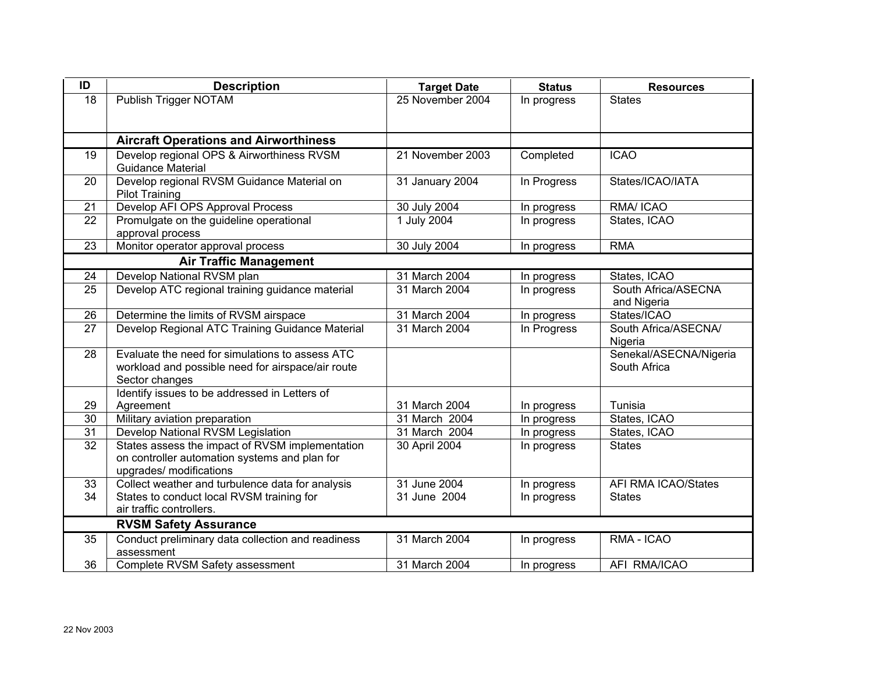| ID              | <b>Description</b>                                                          | <b>Target Date</b> | <b>Status</b>              | <b>Resources</b>           |  |  |  |  |
|-----------------|-----------------------------------------------------------------------------|--------------------|----------------------------|----------------------------|--|--|--|--|
| 18              | Publish Trigger NOTAM                                                       | 25 November 2004   | In progress                | <b>States</b>              |  |  |  |  |
|                 |                                                                             |                    |                            |                            |  |  |  |  |
|                 |                                                                             |                    |                            |                            |  |  |  |  |
|                 | <b>Aircraft Operations and Airworthiness</b>                                |                    |                            |                            |  |  |  |  |
| 19              | Develop regional OPS & Airworthiness RVSM                                   | 21 November 2003   | Completed                  | <b>ICAO</b>                |  |  |  |  |
|                 | <b>Guidance Material</b>                                                    |                    |                            |                            |  |  |  |  |
| 20              | Develop regional RVSM Guidance Material on                                  | 31 January 2004    | In Progress                | States/ICAO/IATA           |  |  |  |  |
|                 | <b>Pilot Training</b>                                                       |                    |                            |                            |  |  |  |  |
| 21              | Develop AFI OPS Approval Process                                            | 30 July 2004       | In progress                | RMA/ ICAO                  |  |  |  |  |
| 22              | Promulgate on the guideline operational                                     | 1 July 2004        | In progress                | States, ICAO               |  |  |  |  |
|                 | approval process                                                            |                    |                            |                            |  |  |  |  |
| 23              | Monitor operator approval process                                           | 30 July 2004       | In progress                | <b>RMA</b>                 |  |  |  |  |
|                 | <b>Air Traffic Management</b>                                               |                    |                            |                            |  |  |  |  |
| 24              | Develop National RVSM plan                                                  | 31 March 2004      | In progress                | States, ICAO               |  |  |  |  |
| 25              | Develop ATC regional training guidance material                             | 31 March 2004      | In progress                | South Africa/ASECNA        |  |  |  |  |
|                 |                                                                             |                    |                            | and Nigeria                |  |  |  |  |
| 26              | Determine the limits of RVSM airspace                                       | 31 March 2004      | In progress                | States/ICAO                |  |  |  |  |
| 27              | Develop Regional ATC Training Guidance Material                             | 31 March 2004      | In Progress                | South Africa/ASECNA/       |  |  |  |  |
|                 |                                                                             |                    |                            | Nigeria                    |  |  |  |  |
| 28              | Evaluate the need for simulations to assess ATC                             |                    |                            | Senekal/ASECNA/Nigeria     |  |  |  |  |
|                 | workload and possible need for airspace/air route                           |                    |                            | South Africa               |  |  |  |  |
|                 | Sector changes                                                              |                    |                            |                            |  |  |  |  |
|                 | Identify issues to be addressed in Letters of                               |                    |                            |                            |  |  |  |  |
| 29              | Agreement                                                                   | 31 March 2004      | In progress                | Tunisia                    |  |  |  |  |
| 30              | Military aviation preparation                                               | 31 March 2004      | In progress                | States, ICAO               |  |  |  |  |
| 31              | Develop National RVSM Legislation                                           | 31 March 2004      | In progress                | States, ICAO               |  |  |  |  |
| $\overline{32}$ | States assess the impact of RVSM implementation                             | 30 April 2004      | In progress                | <b>States</b>              |  |  |  |  |
|                 | on controller automation systems and plan for                               |                    |                            |                            |  |  |  |  |
| 33              | upgrades/ modifications<br>Collect weather and turbulence data for analysis | 31 June 2004       |                            | <b>AFI RMA ICAO/States</b> |  |  |  |  |
| 34              | States to conduct local RVSM training for                                   | 31 June 2004       | In progress<br>In progress | <b>States</b>              |  |  |  |  |
|                 | air traffic controllers.                                                    |                    |                            |                            |  |  |  |  |
|                 |                                                                             |                    |                            |                            |  |  |  |  |
|                 | <b>RVSM Safety Assurance</b>                                                |                    |                            |                            |  |  |  |  |
| 35              | Conduct preliminary data collection and readiness                           | 31 March 2004      | In progress                | RMA - ICAO                 |  |  |  |  |
|                 | assessment                                                                  |                    |                            |                            |  |  |  |  |
| 36              | Complete RVSM Safety assessment                                             | 31 March 2004      | In progress                | AFI RMA/ICAO               |  |  |  |  |